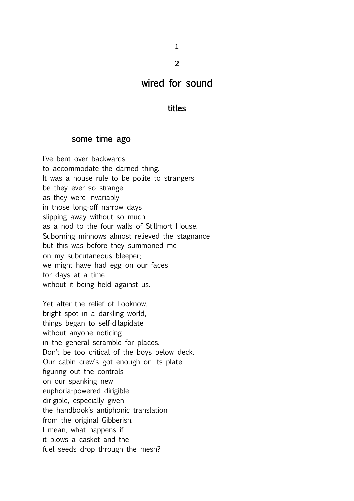1 **2**

# wired for sound

### titles

## some time ago

I've bent over backwards to accommodate the darned thing. It was a house rule to be polite to strangers be they ever so strange as they were invariably in those long-off narrow days slipping away without so much as a nod to the four walls of Stillmort House. Suborning minnows almost relieved the stagnance but this was before they summoned me on my subcutaneous bleeper; we might have had egg on our faces for days at a time without it being held against us. Yet after the relief of Looknow, bright spot in a darkling world, things began to self-dilapidate without anyone noticing in the general scramble for places.

Don't be too critical of the boys below deck. Our cabin crew's got enough on its plate figuring out the controls on our spanking new euphoria-powered dirigible dirigible, especially given the handbook's antiphonic translation from the original Gibberish. I mean, what happens if it blows a casket and the

fuel seeds drop through the mesh?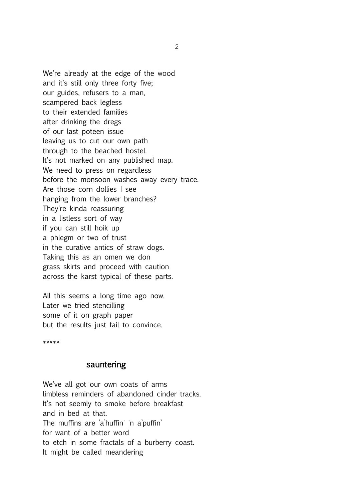We're already at the edge of the wood and it's still only three forty five; our guides, refusers to a man, scampered back legless to their extended families after drinking the dregs of our last poteen issue leaving us to cut our own path through to the beached hostel. It's not marked on any published map. We need to press on regardless before the monsoon washes away every trace. Are those corn dollies I see hanging from the lower branches? They're kinda reassuring in a listless sort of way if you can still hoik up a phlegm or two of trust in the curative antics of straw dogs. Taking this as an omen we don grass skirts and proceed with caution across the karst typical of these parts.

All this seems a long time ago now. Later we tried stencilling some of it on graph paper but the results just fail to convince.

\*\*\*\*\*

#### sauntering

We've all got our own coats of arms limbless reminders of abandoned cinder tracks. It's not seemly to smoke before breakfast and in bed at that. The muffins are 'a'huffin' 'n a'puffin' for want of a better word to etch in some fractals of a burberry coast. It might be called meandering

2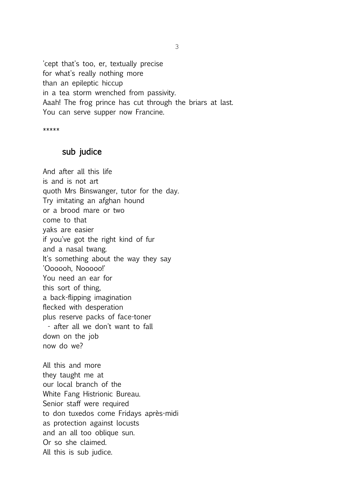'cept that's too, er, textually precise for what's really nothing more than an epileptic hiccup in a tea storm wrenched from passivity. Aaah! The frog prince has cut through the briars at last. You can serve supper now Francine.

\*\*\*\*\*

#### sub judice

And after all this life is and is not art quoth Mrs Binswanger, tutor for the day. Try imitating an afghan hound or a brood mare or two come to that yaks are easier if you've got the right kind of fur and a nasal twang. It's something about the way they say 'Oooooh, Nooooo!' You need an ear for this sort of thing, a back-flipping imagination flecked with desperation plus reserve packs of face-toner - after all we don't want to fall down on the job now do we? All this and more they taught me at our local branch of the White Fang Histrionic Bureau. Senior staff were required

to don tuxedos come Fridays après-midi

as protection against locusts

and an all too oblique sun.

Or so she claimed.

All this is sub judice.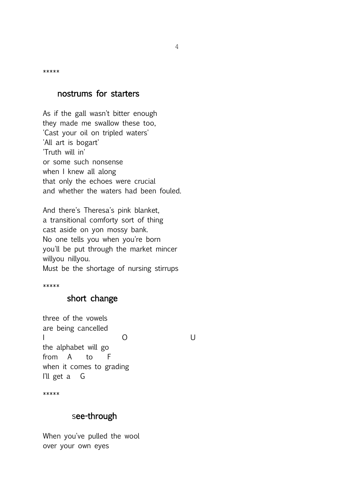\*\*\*\*\*

### nostrums for starters

As if the gall wasn't bitter enough they made me swallow these too, 'Cast your oil on tripled waters' 'All art is bogart' 'Truth will in' or some such nonsense when I knew all along that only the echoes were crucial and whether the waters had been fouled.

And there's Theresa's pink blanket, a transitional comforty sort of thing cast aside on yon mossy bank. No one tells you when you're born you'll be put through the market mincer willyou nillyou. Must be the shortage of nursing stirrups

\*\*\*\*\*

## short change

three of the vowels are being cancelled I O U the alphabet will go from A to F when it comes to grading I'll get a G

\*\*\*\*\*

## see-through

When you've pulled the wool over your own eyes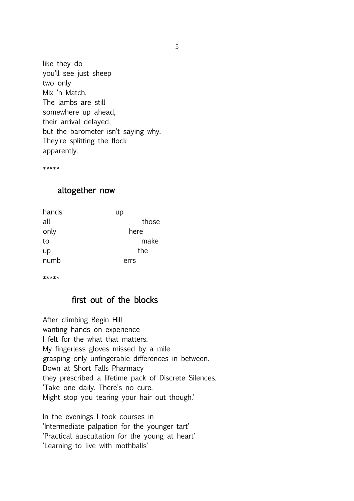like they do you'll see just sheep two only Mix 'n Match. The lambs are still somewhere up ahead, their arrival delayed, but the barometer isn't saying why. They're splitting the flock apparently.

\*\*\*\*\*

## altogether now

| up    |
|-------|
| those |
| here  |
| make  |
| the   |
| errs  |
|       |

\*\*\*\*\*

## first out of the blocks

After climbing Begin Hill wanting hands on experience I felt for the what that matters. My fingerless gloves missed by a mile grasping only unfingerable differences in between. Down at Short Falls Pharmacy they prescribed a lifetime pack of Discrete Silences. 'Take one daily. There's no cure. Might stop you tearing your hair out though.'

In the evenings I took courses in 'Intermediate palpation for the younger tart' 'Practical auscultation for the young at heart' 'Learning to live with mothballs'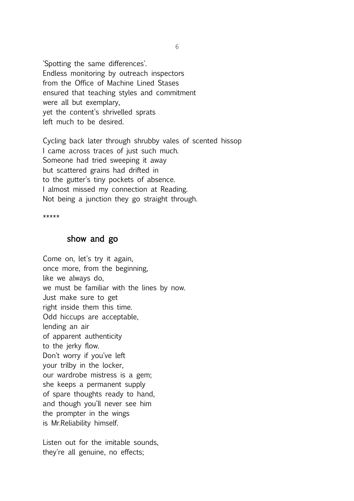'Spotting the same differences'. Endless monitoring by outreach inspectors from the Office of Machine Lined Stases ensured that teaching styles and commitment were all but exemplary, yet the content's shrivelled sprats left much to be desired.

Cycling back later through shrubby vales of scented hissop I came across traces of just such much. Someone had tried sweeping it away but scattered grains had drifted in to the gutter's tiny pockets of absence. I almost missed my connection at Reading. Not being a junction they go straight through.

\*\*\*\*\*

## show and go

Come on, let's try it again, once more, from the beginning, like we always do, we must be familiar with the lines by now. Just make sure to get right inside them this time. Odd hiccups are acceptable, lending an air of apparent authenticity to the jerky flow. Don't worry if you've left your trilby in the locker, our wardrobe mistress is a gem; she keeps a permanent supply of spare thoughts ready to hand, and though you'll never see him the prompter in the wings is Mr.Reliability himself.

Listen out for the imitable sounds, they're all genuine, no effects;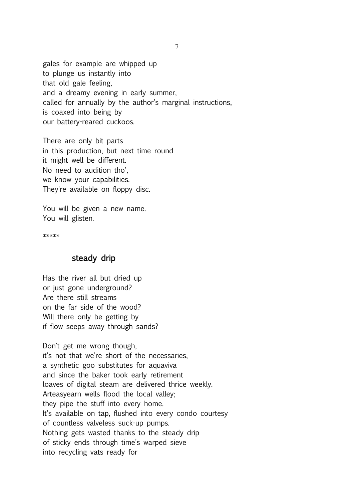gales for example are whipped up to plunge us instantly into that old gale feeling, and a dreamy evening in early summer, called for annually by the author's marginal instructions, is coaxed into being by our battery-reared cuckoos.

There are only bit parts in this production, but next time round it might well be different. No need to audition tho', we know your capabilities. They're available on floppy disc.

You will be given a new name. You will glisten.

\*\*\*\*\*

## steady drip

Has the river all but dried up or just gone underground? Are there still streams on the far side of the wood? Will there only be getting by if flow seeps away through sands?

Don't get me wrong though, it's not that we're short of the necessaries, a synthetic goo substitutes for aquaviva and since the baker took early retirement loaves of digital steam are delivered thrice weekly. Arteasyearn wells flood the local valley; they pipe the stuff into every home. It's available on tap, flushed into every condo courtesy of countless valveless suck-up pumps. Nothing gets wasted thanks to the steady drip of sticky ends through time's warped sieve into recycling vats ready for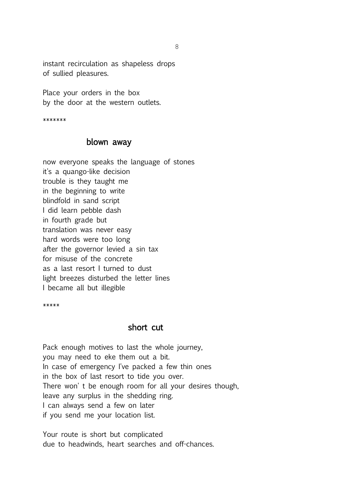instant recirculation as shapeless drops of sullied pleasures.

Place your orders in the box by the door at the western outlets.

\*\*\*\*\*\*\*

#### blown away

now everyone speaks the language of stones it's a quango-like decision trouble is they taught me in the beginning to write blindfold in sand script I did learn pebble dash in fourth grade but translation was never easy hard words were too long after the governor levied a sin tax for misuse of the concrete as a last resort I turned to dust light breezes disturbed the letter lines I became all but illegible

\*\*\*\*\*

#### short cut

Pack enough motives to last the whole journey, you may need to eke them out a bit. In case of emergency I've packed a few thin ones in the box of last resort to tide you over. There won' t be enough room for all your desires though, leave any surplus in the shedding ring. I can always send a few on later if you send me your location list.

Your route is short but complicated due to headwinds, heart searches and off-chances.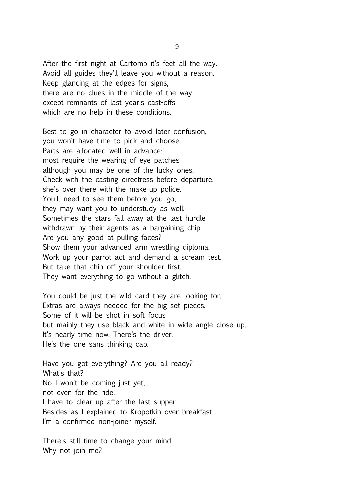After the first night at Cartomb it's feet all the way. Avoid all guides they'll leave you without a reason. Keep glancing at the edges for signs, there are no clues in the middle of the way except remnants of last year's cast-offs which are no help in these conditions.

Best to go in character to avoid later confusion, you won't have time to pick and choose. Parts are allocated well in advance; most require the wearing of eye patches although you may be one of the lucky ones. Check with the casting directress before departure, she's over there with the make-up police. You'll need to see them before you go, they may want you to understudy as well. Sometimes the stars fall away at the last hurdle withdrawn by their agents as a bargaining chip. Are you any good at pulling faces? Show them your advanced arm wrestling diploma. Work up your parrot act and demand a scream test. But take that chip off your shoulder first. They want everything to go without a glitch.

You could be just the wild card they are looking for. Extras are always needed for the big set pieces. Some of it will be shot in soft focus but mainly they use black and white in wide angle close up. It's nearly time now. There's the driver. He's the one sans thinking cap.

Have you got everything? Are you all ready? What's that? No I won't be coming just yet, not even for the ride. I have to clear up after the last supper. Besides as I explained to Kropotkin over breakfast I'm a confirmed non-joiner myself.

There's still time to change your mind. Why not join me?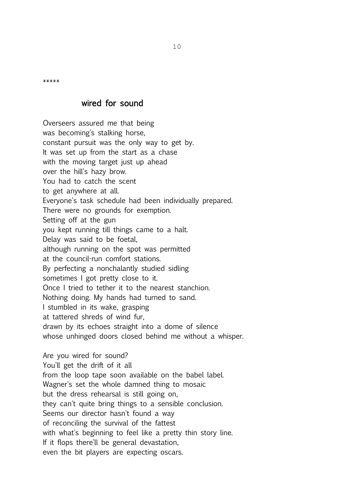\*\*\*\*\*

### wired for sound

Overseers assured me that being was becoming's stalking horse, constant pursuit was the only way to get by. It was set up from the start as a chase with the moving target just up ahead over the hill's hazy brow. You had to catch the scent to get anywhere at all. Everyone's task schedule had been individually prepared. There were no grounds for exemption. Setting off at the gun you kept running till things came to a halt. Delay was said to be foetal, although running on the spot was permitted at the council-run comfort stations. By perfecting a nonchalantly studied sidling sometimes I got pretty close to it. Once I tried to tether it to the nearest stanchion. Nothing doing. My hands had turned to sand. I stumbled in its wake, grasping at tattered shreds of wind fur, drawn by its echoes straight into a dome of silence whose unhinged doors closed behind me without a whisper.

Are you wired for sound? You'll get the drift of it all from the loop tape soon available on the babel label. Wagner's set the whole damned thing to mosaic but the dress rehearsal is still going on, they can't quite bring things to a sensible conclusion. Seems our director hasn't found a way of reconciling the survival of the fattest with what's beginning to feel like a pretty thin story line. If it flops there'll be general devastation, even the bit players are expecting oscars.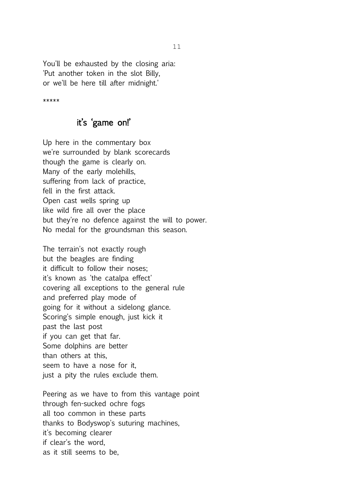You'll be exhausted by the closing aria: 'Put another token in the slot Billy, or we'll be here till after midnight.'

\*\*\*\*\*

## it's 'game on!'

Up here in the commentary box we're surrounded by blank scorecards though the game is clearly on. Many of the early molehills, suffering from lack of practice, fell in the first attack. Open cast wells spring up like wild fire all over the place but they're no defence against the will to power. No medal for the groundsman this season.

The terrain's not exactly rough but the beagles are finding it difficult to follow their noses; it's known as 'the catalpa effect' covering all exceptions to the general rule and preferred play mode of going for it without a sidelong glance. Scoring's simple enough, just kick it past the last post if you can get that far. Some dolphins are better than others at this, seem to have a nose for it, just a pity the rules exclude them.

Peering as we have to from this vantage point through fen-sucked ochre fogs all too common in these parts thanks to Bodyswop's suturing machines, it's becoming clearer if clear's the word, as it still seems to be,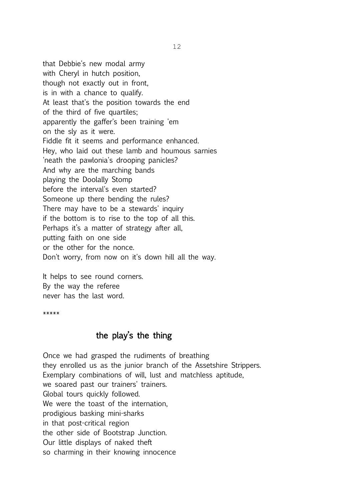that Debbie's new modal army with Cheryl in hutch position, though not exactly out in front, is in with a chance to qualify. At least that's the position towards the end of the third of five quartiles; apparently the gaffer's been training 'em on the sly as it were. Fiddle fit it seems and performance enhanced. Hey, who laid out these lamb and houmous sarnies 'neath the pawlonia's drooping panicles? And why are the marching bands playing the Doolally Stomp before the interval's even started? Someone up there bending the rules? There may have to be a stewards' inquiry if the bottom is to rise to the top of all this. Perhaps it's a matter of strategy after all, putting faith on one side or the other for the nonce. Don't worry, from now on it's down hill all the way.

It helps to see round corners. By the way the referee never has the last word.

\*\*\*\*\*

### the play's the thing

Once we had grasped the rudiments of breathing they enrolled us as the junior branch of the Assetshire Strippers. Exemplary combinations of will, lust and matchless aptitude, we soared past our trainers' trainers. Global tours quickly followed. We were the toast of the internation, prodigious basking mini-sharks in that post-critical region the other side of Bootstrap Junction. Our little displays of naked theft so charming in their knowing innocence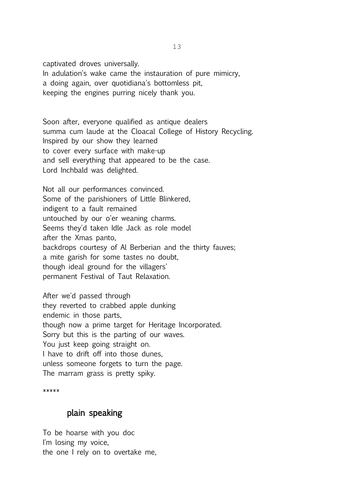captivated droves universally. In adulation's wake came the instauration of pure mimicry, a doing again, over quotidiana's bottomless pit, keeping the engines purring nicely thank you.

Soon after, everyone qualified as antique dealers summa cum laude at the Cloacal College of History Recycling. Inspired by our show they learned to cover every surface with make-up and sell everything that appeared to be the case. Lord Inchbald was delighted.

Not all our performances convinced. Some of the parishioners of Little Blinkered, indigent to a fault remained untouched by our o'er weaning charms. Seems they'd taken Idle Jack as role model after the Xmas panto, backdrops courtesy of Al Berberian and the thirty fauves; a mite garish for some tastes no doubt, though ideal ground for the villagers' permanent Festival of Taut Relaxation.

After we'd passed through they reverted to crabbed apple dunking endemic in those parts, though now a prime target for Heritage Incorporated. Sorry but this is the parting of our waves. You just keep going straight on. I have to drift off into those dunes, unless someone forgets to turn the page. The marram grass is pretty spiky.

\*\*\*\*\*

## plain speaking

To be hoarse with you doc I'm losing my voice, the one I rely on to overtake me,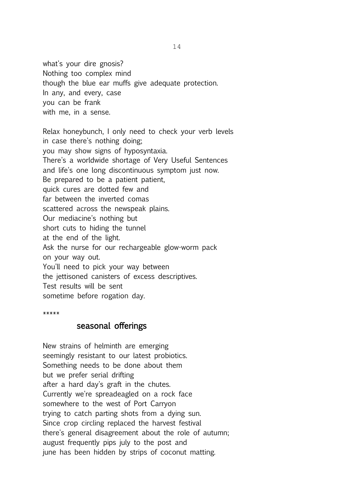what's your dire gnosis? Nothing too complex mind though the blue ear muffs give adequate protection. In any, and every, case you can be frank with me, in a sense.

Relax honeybunch, I only need to check your verb levels in case there's nothing doing; you may show signs of hyposyntaxia. There's a worldwide shortage of Very Useful Sentences and life's one long discontinuous symptom just now. Be prepared to be a patient patient, quick cures are dotted few and far between the inverted comas scattered across the newspeak plains. Our mediacine's nothing but short cuts to hiding the tunnel at the end of the light. Ask the nurse for our rechargeable glow-worm pack on your way out. You'll need to pick your way between the jettisoned canisters of excess descriptives. Test results will be sent sometime before rogation day.

\*\*\*\*\*

#### seasonal offerings

New strains of helminth are emerging seemingly resistant to our latest probiotics. Something needs to be done about them but we prefer serial drifting after a hard day's graft in the chutes. Currently we're spreadeagled on a rock face somewhere to the west of Port Carryon trying to catch parting shots from a dying sun. Since crop circling replaced the harvest festival there's general disagreement about the role of autumn; august frequently pips july to the post and june has been hidden by strips of coconut matting.